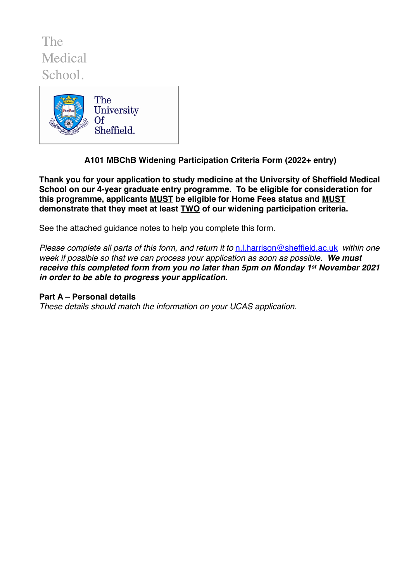The Medical School.



**A101 MBChB Widening Participation Criteria Form (2022+ entry)** 

**Thank you for your application to study medicine at the University of Sheffield Medical School on our 4-year graduate entry programme. To be eligible for consideration for this programme, applicants MUST be eligible for Home Fees status and MUST demonstrate that they meet at least TWO of our widening participation criteria.** 

See the attached guidance notes to help you complete this form.

*Please complete all parts of this form, and return it to* [n.l.harrison@sheffield.ac.uk](mailto:n.l.harrison@sheffield.ac.uk) *within one week if possible so that we can process your application as soon as possible. We must receive this completed form from you no later than 5pm on Monday 1st November 2021 in order to be able to progress your application.*

## **Part A – Personal details**

*These details should match the information on your UCAS application.*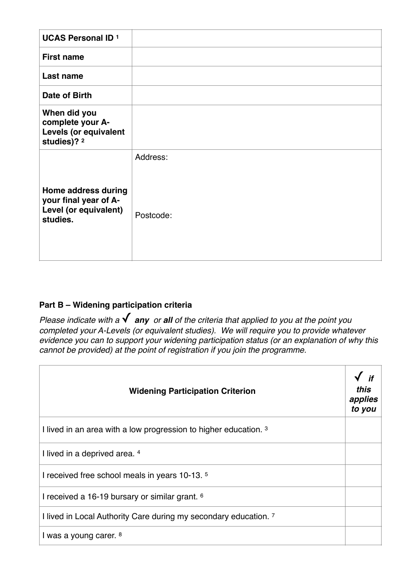| <b>UCAS Personal ID 1</b>                                                         |                       |
|-----------------------------------------------------------------------------------|-----------------------|
| <b>First name</b>                                                                 |                       |
| Last name                                                                         |                       |
| Date of Birth                                                                     |                       |
| When did you<br>complete your A-<br><b>Levels (or equivalent</b><br>studies)? 2   |                       |
| Home address during<br>your final year of A-<br>Level (or equivalent)<br>studies. | Address:<br>Postcode: |

## **Part B – Widening participation criteria**

*Please indicate with a* ✓ *any or all of the criteria that applied to you at the point you completed your A-Levels (or equivalent studies). We will require you to provide whatever evidence you can to support your widening participation status (or an explanation of why this cannot be provided) at the point of registration if you join the programme.*

| <b>Widening Participation Criterion</b>                          | if<br><i>this</i><br>applies<br>to you |
|------------------------------------------------------------------|----------------------------------------|
| I lived in an area with a low progression to higher education. 3 |                                        |
| I lived in a deprived area. 4                                    |                                        |
| I received free school meals in years 10-13. 5                   |                                        |
| I received a 16-19 bursary or similar grant. <sup>6</sup>        |                                        |
| I lived in Local Authority Care during my secondary education. 7 |                                        |
| I was a young carer. 8                                           |                                        |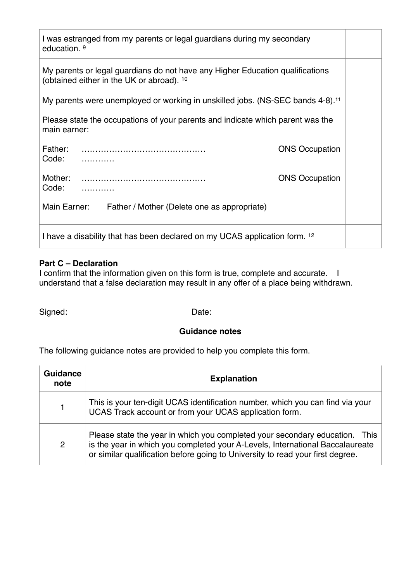| I was estranged from my parents or legal guardians during my secondary<br>education. <sup>9</sup>                          |                       |  |
|----------------------------------------------------------------------------------------------------------------------------|-----------------------|--|
| My parents or legal guardians do not have any Higher Education qualifications<br>(obtained either in the UK or abroad). 10 |                       |  |
| My parents were unemployed or working in unskilled jobs. (NS-SEC bands 4-8). <sup>11</sup>                                 |                       |  |
| Please state the occupations of your parents and indicate which parent was the<br>main earner:                             |                       |  |
| Father:<br>Code:                                                                                                           | <b>ONS Occupation</b> |  |
| Mother:<br>Code:                                                                                                           | <b>ONS Occupation</b> |  |
| Main Earner:<br>Father / Mother (Delete one as appropriate)                                                                |                       |  |
| I have a disability that has been declared on my UCAS application form. 12                                                 |                       |  |

## **Part C – Declaration**

I confirm that the information given on this form is true, complete and accurate. I understand that a false declaration may result in any offer of a place being withdrawn.

Signed: Date:

## **Guidance notes**

The following guidance notes are provided to help you complete this form.

| <b>Guidance</b><br>note | <b>Explanation</b>                                                                                                                                                                                                                             |
|-------------------------|------------------------------------------------------------------------------------------------------------------------------------------------------------------------------------------------------------------------------------------------|
|                         | This is your ten-digit UCAS identification number, which you can find via your<br>UCAS Track account or from your UCAS application form.                                                                                                       |
| $\overline{2}$          | Please state the year in which you completed your secondary education. This<br>is the year in which you completed your A-Levels, International Baccalaureate<br>or similar qualification before going to University to read your first degree. |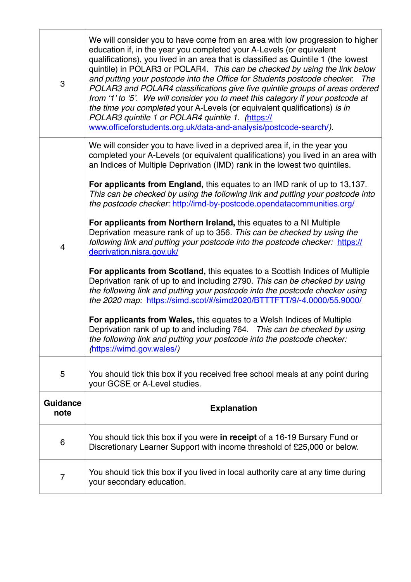| $\mathbf 3$             | We will consider you to have come from an area with low progression to higher<br>education if, in the year you completed your A-Levels (or equivalent<br>qualifications), you lived in an area that is classified as Quintile 1 (the lowest<br>quintile) in POLAR3 or POLAR4. This can be checked by using the link below<br>and putting your postcode into the Office for Students postcode checker. The<br>POLAR3 and POLAR4 classifications give five quintile groups of areas ordered<br>from '1' to '5'. We will consider you to meet this category if your postcode at<br>the time you completed your A-Levels (or equivalent qualifications) is in<br>POLAR3 quintile 1 or POLAR4 quintile 1. (https://<br>www.officeforstudents.org.uk/data-and-analysis/postcode-search/). |
|-------------------------|-------------------------------------------------------------------------------------------------------------------------------------------------------------------------------------------------------------------------------------------------------------------------------------------------------------------------------------------------------------------------------------------------------------------------------------------------------------------------------------------------------------------------------------------------------------------------------------------------------------------------------------------------------------------------------------------------------------------------------------------------------------------------------------|
|                         | We will consider you to have lived in a deprived area if, in the year you<br>completed your A-Levels (or equivalent qualifications) you lived in an area with<br>an Indices of Multiple Deprivation (IMD) rank in the lowest two quintiles.<br>For applicants from England, this equates to an IMD rank of up to 13,137.<br>This can be checked by using the following link and putting your postcode into                                                                                                                                                                                                                                                                                                                                                                          |
| $\overline{4}$          | the postcode checker: http://imd-by-postcode.opendatacommunities.org/                                                                                                                                                                                                                                                                                                                                                                                                                                                                                                                                                                                                                                                                                                               |
|                         | For applicants from Northern Ireland, this equates to a NI Multiple<br>Deprivation measure rank of up to 356. This can be checked by using the<br>following link and putting your postcode into the postcode checker: https://<br>deprivation.nisra.gov.uk/                                                                                                                                                                                                                                                                                                                                                                                                                                                                                                                         |
|                         | For applicants from Scotland, this equates to a Scottish Indices of Multiple<br>Deprivation rank of up to and including 2790. This can be checked by using<br>the following link and putting your postcode into the postcode checker using<br>the 2020 map: https://simd.scot/#/simd2020/BTTTFTT/9/-4.0000/55.9000/                                                                                                                                                                                                                                                                                                                                                                                                                                                                 |
|                         | For applicants from Wales, this equates to a Welsh Indices of Multiple<br>Deprivation rank of up to and including 764. This can be checked by using<br>the following link and putting your postcode into the postcode checker:<br>(https://wimd.gov.wales/)                                                                                                                                                                                                                                                                                                                                                                                                                                                                                                                         |
| 5                       | You should tick this box if you received free school meals at any point during<br>your GCSE or A-Level studies.                                                                                                                                                                                                                                                                                                                                                                                                                                                                                                                                                                                                                                                                     |
| <b>Guidance</b><br>note | <b>Explanation</b>                                                                                                                                                                                                                                                                                                                                                                                                                                                                                                                                                                                                                                                                                                                                                                  |
| 6                       | You should tick this box if you were in receipt of a 16-19 Bursary Fund or<br>Discretionary Learner Support with income threshold of £25,000 or below.                                                                                                                                                                                                                                                                                                                                                                                                                                                                                                                                                                                                                              |
| 7                       | You should tick this box if you lived in local authority care at any time during<br>your secondary education.                                                                                                                                                                                                                                                                                                                                                                                                                                                                                                                                                                                                                                                                       |